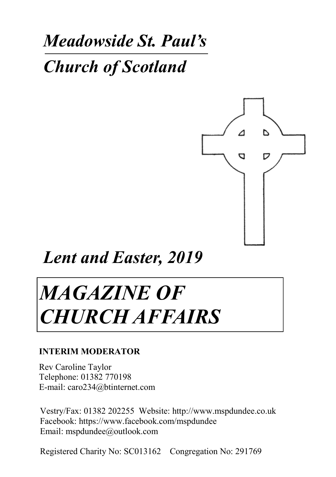# *Meadowside St. Paul's*

*Church of Scotland*



*Lent and Easter, 2019*

# *MAGAZINE OF CHURCH AFFAIRS*

### **INTERIM MODERATOR**

Rev Caroline Taylor Telephone: 01382 770198 E-mail: caro234@btinternet.com

Vestry/Fax: 01382 202255 Website: http://www.mspdundee.co.uk Facebook: https://www.facebook.com/mspdundee Email: mspdundee@outlook.com

Registered Charity No: SC013162 Congregation No: 291769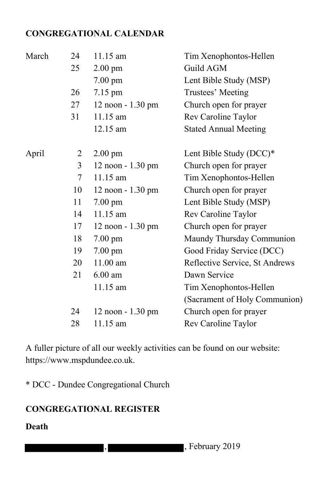### **CONGREGATIONAL CALENDAR**

| Guild AGM<br>Lent Bible Study (MSP)<br>Trustees' Meeting<br>Church open for prayer<br>Rev Caroline Taylor<br><b>Stated Annual Meeting</b> |
|-------------------------------------------------------------------------------------------------------------------------------------------|
|                                                                                                                                           |
|                                                                                                                                           |
|                                                                                                                                           |
|                                                                                                                                           |
|                                                                                                                                           |
|                                                                                                                                           |
| Lent Bible Study (DCC)*                                                                                                                   |
| Church open for prayer                                                                                                                    |
| Tim Xenophontos-Hellen                                                                                                                    |
| Church open for prayer                                                                                                                    |
| Lent Bible Study (MSP)                                                                                                                    |
| Rev Caroline Taylor                                                                                                                       |
| Church open for prayer                                                                                                                    |
| Maundy Thursday Communion                                                                                                                 |
| Good Friday Service (DCC)                                                                                                                 |
| Reflective Service, St Andrews                                                                                                            |
| Dawn Service                                                                                                                              |
| Tim Xenophontos-Hellen                                                                                                                    |
| (Sacrament of Holy Communion)                                                                                                             |
| Church open for prayer                                                                                                                    |
| Rev Caroline Taylor                                                                                                                       |
|                                                                                                                                           |

A fuller picture of all our weekly activities can be found on our website: https://www.mspdundee.co.uk.

\* DCC - Dundee Congregational Church

# **CONGREGATIONAL REGISTER**

#### **Death**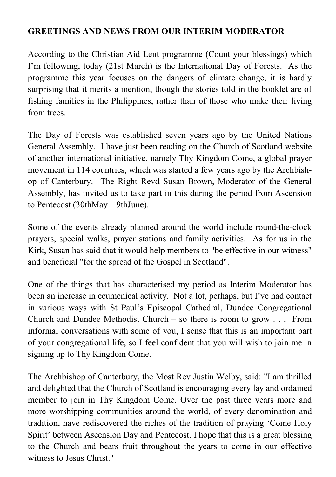#### **GREETINGS AND NEWS FROM OUR INTERIM MODERATOR**

According to the Christian Aid Lent programme (Count your blessings) which I'm following, today (21st March) is the International Day of Forests. As the programme this year focuses on the dangers of climate change, it is hardly surprising that it merits a mention, though the stories told in the booklet are of fishing families in the Philippines, rather than of those who make their living from trees.

The Day of Forests was established seven years ago by the United Nations General Assembly. I have just been reading on the Church of Scotland website of another international initiative, namely Thy Kingdom Come, a global prayer movement in 114 countries, which was started a few years ago by the Archbishop of Canterbury. The Right Revd Susan Brown, Moderator of the General Assembly, has invited us to take part in this during the period from Ascension to Pentecost (30thMay – 9thJune).

Some of the events already planned around the world include round-the-clock prayers, special walks, prayer stations and family activities. As for us in the Kirk, Susan has said that it would help members to "be effective in our witness" and beneficial "for the spread of the Gospel in Scotland".

One of the things that has characterised my period as Interim Moderator has been an increase in ecumenical activity. Not a lot, perhaps, but I've had contact in various ways with St Paul's Episcopal Cathedral, Dundee Congregational Church and Dundee Methodist Church – so there is room to grow . . . From informal conversations with some of you, I sense that this is an important part of your congregational life, so I feel confident that you will wish to join me in signing up to Thy Kingdom Come.

The Archbishop of Canterbury, the Most Rev Justin Welby, said: "I am thrilled and delighted that the Church of Scotland is encouraging every lay and ordained member to join in Thy Kingdom Come. Over the past three years more and more worshipping communities around the world, of every denomination and tradition, have rediscovered the riches of the tradition of praying 'Come Holy Spirit' between Ascension Day and Pentecost. I hope that this is a great blessing to the Church and bears fruit throughout the years to come in our effective witness to Jesus Christ."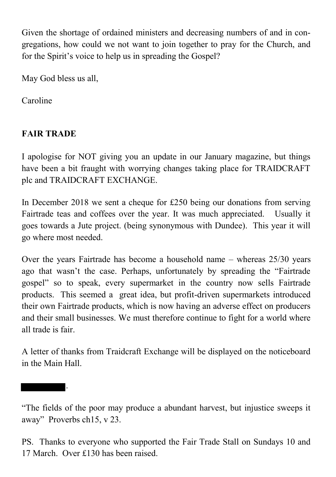Given the shortage of ordained ministers and decreasing numbers of and in congregations, how could we not want to join together to pray for the Church, and for the Spirit's voice to help us in spreading the Gospel?

May God bless us all,

Caroline

# **FAIR TRADE**

.

I apologise for NOT giving you an update in our January magazine, but things have been a bit fraught with worrying changes taking place for TRAIDCRAFT plc and TRAIDCRAFT EXCHANGE.

In December 2018 we sent a cheque for £250 being our donations from serving Fairtrade teas and coffees over the year. It was much appreciated. Usually it goes towards a Jute project. (being synonymous with Dundee). This year it will go where most needed.

Over the years Fairtrade has become a household name – whereas 25/30 years ago that wasn't the case. Perhaps, unfortunately by spreading the "Fairtrade gospel" so to speak, every supermarket in the country now sells Fairtrade products. This seemed a great idea, but profit-driven supermarkets introduced their own Fairtrade products, which is now having an adverse effect on producers and their small businesses. We must therefore continue to fight for a world where all trade is fair.

A letter of thanks from Traidcraft Exchange will be displayed on the noticeboard in the Main Hall.

<sup>&</sup>quot;The fields of the poor may produce a abundant harvest, but injustice sweeps it away" Proverbs ch15, v 23.

PS. Thanks to everyone who supported the Fair Trade Stall on Sundays 10 and 17 March. Over £130 has been raised.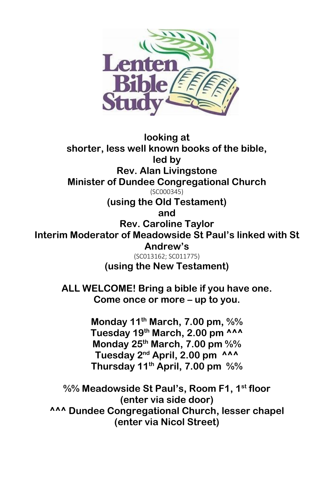

**looking at shorter, less well known books of the bible, led by Rev. Alan Livingstone Minister of Dundee Congregational Church** (SC000345) **(using the Old Testament) and Rev. Caroline Taylor Interim Moderator of Meadowside St Paul's linked with St Andrew's** (SC013162; SC011775) **(using the New Testament) ALL WELCOME! Bring a bible if you have one. Come once or more – up to you. Monday 11th March, 7.00 pm, %% Tuesday 19th March, 2.00 pm ^^^ Monday 25th March, 7.00 pm %% Tuesday 2nd April, 2.00 pm ^^^ Thursday 11th April, 7.00 pm %% %% Meadowside St Paul's, Room F1, 1st floor (enter via side door) ^^^ Dundee Congregational Church, lesser chapel** 

**(enter via Nicol Street)**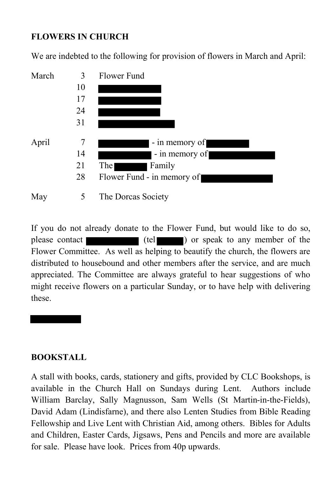# **FLOWERS IN CHURCH**

We are indebted to the following for provision of flowers in March and April:



If you do not already donate to the Flower Fund, but would like to do so, please contact (tel ) or speak to any member of the Flower Committee. As well as helping to beautify the church, the flowers are distributed to housebound and other members after the service, and are much appreciated. The Committee are always grateful to hear suggestions of who might receive flowers on a particular Sunday, or to have help with delivering these.

#### **BOOKSTALL**

A stall with books, cards, stationery and gifts, provided by CLC Bookshops, is available in the Church Hall on Sundays during Lent. Authors include William Barclay, Sally Magnusson, Sam Wells (St Martin-in-the-Fields), David Adam (Lindisfarne), and there also Lenten Studies from Bible Reading Fellowship and Live Lent with Christian Aid, among others. Bibles for Adults and Children, Easter Cards, Jigsaws, Pens and Pencils and more are available for sale. Please have look. Prices from 40p upwards.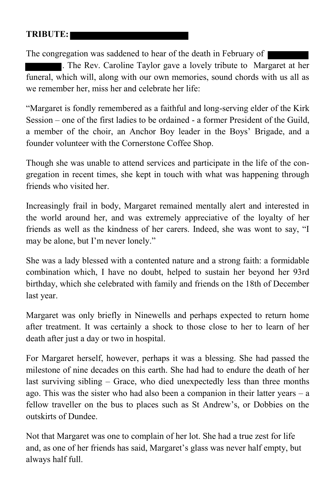# **TRIBUTE:**

The congregation was saddened to hear of the death in February of  $\vert$ 

. The Rev. Caroline Taylor gave a lovely tribute to Margaret at her funeral, which will, along with our own memories, sound chords with us all as we remember her, miss her and celebrate her life:

"Margaret is fondly remembered as a faithful and long-serving elder of the Kirk Session – one of the first ladies to be ordained - a former President of the Guild, a member of the choir, an Anchor Boy leader in the Boys' Brigade, and a founder volunteer with the Cornerstone Coffee Shop.

Though she was unable to attend services and participate in the life of the congregation in recent times, she kept in touch with what was happening through friends who visited her.

Increasingly frail in body, Margaret remained mentally alert and interested in the world around her, and was extremely appreciative of the loyalty of her friends as well as the kindness of her carers. Indeed, she was wont to say, "I may be alone, but I'm never lonely."

She was a lady blessed with a contented nature and a strong faith: a formidable combination which, I have no doubt, helped to sustain her beyond her 93rd birthday, which she celebrated with family and friends on the 18th of December last year.

Margaret was only briefly in Ninewells and perhaps expected to return home after treatment. It was certainly a shock to those close to her to learn of her death after just a day or two in hospital.

For Margaret herself, however, perhaps it was a blessing. She had passed the milestone of nine decades on this earth. She had had to endure the death of her last surviving sibling – Grace, who died unexpectedly less than three months ago. This was the sister who had also been a companion in their latter years – a fellow traveller on the bus to places such as St Andrew's, or Dobbies on the outskirts of Dundee.

Not that Margaret was one to complain of her lot. She had a true zest for life and, as one of her friends has said, Margaret's glass was never half empty, but always half full.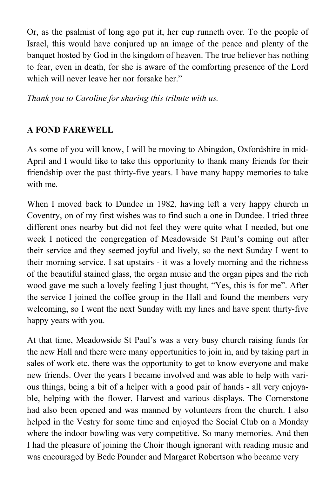Or, as the psalmist of long ago put it, her cup runneth over. To the people of Israel, this would have conjured up an image of the peace and plenty of the banquet hosted by God in the kingdom of heaven. The true believer has nothing to fear, even in death, for she is aware of the comforting presence of the Lord which will never leave her nor forsake her."

*Thank you to Caroline for sharing this tribute with us.*

# **A FOND FAREWELL**

As some of you will know, I will be moving to Abingdon, Oxfordshire in mid-April and I would like to take this opportunity to thank many friends for their friendship over the past thirty-five years. I have many happy memories to take with me.

When I moved back to Dundee in 1982, having left a very happy church in Coventry, on of my first wishes was to find such a one in Dundee. I tried three different ones nearby but did not feel they were quite what I needed, but one week I noticed the congregation of Meadowside St Paul's coming out after their service and they seemed joyful and lively, so the next Sunday I went to their morning service. I sat upstairs - it was a lovely morning and the richness of the beautiful stained glass, the organ music and the organ pipes and the rich wood gave me such a lovely feeling I just thought, "Yes, this is for me". After the service I joined the coffee group in the Hall and found the members very welcoming, so I went the next Sunday with my lines and have spent thirty-five happy years with you.

At that time, Meadowside St Paul's was a very busy church raising funds for the new Hall and there were many opportunities to join in, and by taking part in sales of work etc. there was the opportunity to get to know everyone and make new friends. Over the years I became involved and was able to help with various things, being a bit of a helper with a good pair of hands - all very enjoyable, helping with the flower, Harvest and various displays. The Cornerstone had also been opened and was manned by volunteers from the church. I also helped in the Vestry for some time and enjoyed the Social Club on a Monday where the indoor bowling was very competitive. So many memories. And then I had the pleasure of joining the Choir though ignorant with reading music and was encouraged by Bede Pounder and Margaret Robertson who became very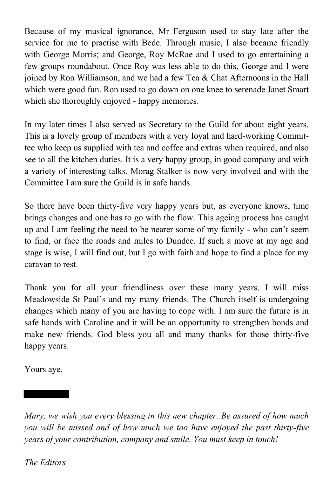Because of my musical ignorance, Mr Ferguson used to stay late after the service for me to practise with Bede. Through music, I also became friendly with George Morris; and George, Roy McRae and I used to go entertaining a few groups roundabout. Once Roy was less able to do this, George and I were ioined by Ron Williamson, and we had a few Tea  $&$  Chat Afternoons in the Hall which were good fun. Ron used to go down on one knee to serenade Janet Smart which she thoroughly enjoyed - happy memories.

In my later times I also served as Secretary to the Guild for about eight years. This is a lovely group of members with a very loyal and hard-working Committee who keep us supplied with tea and coffee and extras when required, and also see to all the kitchen duties. It is a very happy group, in good company and with a variety of interesting talks. Morag Stalker is now very involved and with the Committee I am sure the Guild is in safe hands.

So there have been thirty-five very happy years but, as everyone knows, time brings changes and one has to go with the flow. This ageing process has caught up and I am feeling the need to be nearer some of my family - who can't seem to find, or face the roads and miles to Dundee. If such a move at my age and stage is wise, I will find out, but I go with faith and hope to find a place for my caravan to rest.

Thank you for all your friendliness over these many years. I will miss Meadowside St Paul's and my many friends. The Church itself is undergoing changes which many of you are having to cope with. I am sure the future is in safe hands with Caroline and it will be an opportunity to strengthen bonds and make new friends. God bless you all and many thanks for those thirty-five happy years.

Yours aye,

*Mary, we wish you every blessing in this new chapter. Be assured of how much you will be missed and of how much we too have enjoyed the past thirty-five years of your contribution, company and smile. You must keep in touch!*

*The Editors*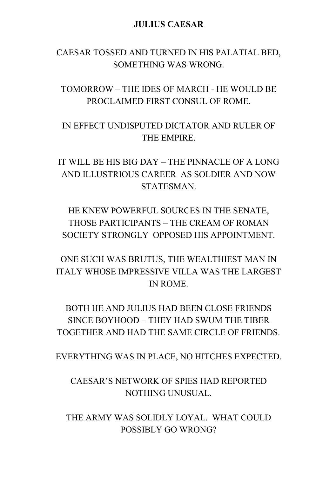#### **JULIUS CAESAR**

#### CAESAR TOSSED AND TURNED IN HIS PALATIAL BED, SOMETHING WAS WRONG.

TOMORROW – THE IDES OF MARCH - HE WOULD BE PROCLAIMED FIRST CONSUL OF ROME.

IN EFFECT UNDISPUTED DICTATOR AND RULER OF THE EMPIRE.

IT WILL BE HIS BIG DAY – THE PINNACLE OF A LONG AND ILLUSTRIOUS CAREER AS SOLDIER AND NOW **STATESMAN** 

HE KNEW POWERFUL SOURCES IN THE SENATE, THOSE PARTICIPANTS – THE CREAM OF ROMAN SOCIETY STRONGLY OPPOSED HIS APPOINTMENT.

ONE SUCH WAS BRUTUS, THE WEALTHIEST MAN IN ITALY WHOSE IMPRESSIVE VILLA WAS THE LARGEST IN ROME.

BOTH HE AND JULIUS HAD BEEN CLOSE FRIENDS SINCE BOYHOOD – THEY HAD SWUM THE TIBER TOGETHER AND HAD THE SAME CIRCLE OF FRIENDS.

EVERYTHING WAS IN PLACE, NO HITCHES EXPECTED.

CAESAR'S NETWORK OF SPIES HAD REPORTED NOTHING UNUSUAL.

THE ARMY WAS SOLIDLY LOYAL. WHAT COULD POSSIBLY GO WRONG?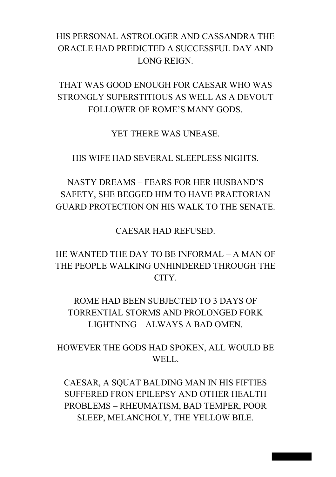# HIS PERSONAL ASTROLOGER AND CASSANDRA THE ORACLE HAD PREDICTED A SUCCESSFUL DAY AND LONG REIGN.

THAT WAS GOOD ENOUGH FOR CAESAR WHO WAS STRONGLY SUPERSTITIOUS AS WELL AS A DEVOUT FOLLOWER OF ROME'S MANY GODS.

YET THERE WAS UNEASE.

HIS WIFE HAD SEVERAL SLEEPLESS NIGHTS.

# NASTY DREAMS – FEARS FOR HER HUSBAND'S SAFETY, SHE BEGGED HIM TO HAVE PRAETORIAN GUARD PROTECTION ON HIS WALK TO THE SENATE.

CAESAR HAD REFUSED.

HE WANTED THE DAY TO BE INFORMAL – A MAN OF THE PEOPLE WALKING UNHINDERED THROUGH THE CITY.

ROME HAD BEEN SUBJECTED TO 3 DAYS OF TORRENTIAL STORMS AND PROLONGED FORK LIGHTNING – ALWAYS A BAD OMEN.

HOWEVER THE GODS HAD SPOKEN, ALL WOULD BE WELL.

CAESAR, A SQUAT BALDING MAN IN HIS FIFTIES SUFFERED FRON EPILEPSY AND OTHER HEALTH PROBLEMS – RHEUMATISM, BAD TEMPER, POOR SLEEP, MELANCHOLY, THE YELLOW BILE.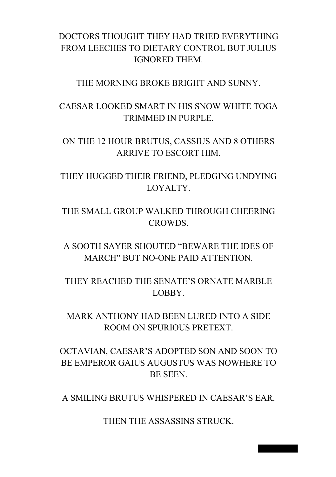### DOCTORS THOUGHT THEY HAD TRIED EVERYTHING FROM LEECHES TO DIETARY CONTROL BUT JULIUS IGNORED THEM.

THE MORNING BROKE BRIGHT AND SUNNY.

CAESAR LOOKED SMART IN HIS SNOW WHITE TOGA TRIMMED IN PURPLE.

ON THE 12 HOUR BRUTUS, CASSIUS AND 8 OTHERS ARRIVE TO ESCORT HIM.

THEY HUGGED THEIR FRIEND, PLEDGING UNDYING LOYALTY.

THE SMALL GROUP WALKED THROUGH CHEERING **CROWDS** 

A SOOTH SAYER SHOUTED "BEWARE THE IDES OF MARCH" BUT NO-ONE PAID ATTENTION.

THEY REACHED THE SENATE'S ORNATE MARBLE LOBBY.

MARK ANTHONY HAD BEEN LURED INTO A SIDE ROOM ON SPURIOUS PRETEXT.

OCTAVIAN, CAESAR'S ADOPTED SON AND SOON TO BE EMPEROR GAIUS AUGUSTUS WAS NOWHERE TO BE SEEN.

A SMILING BRUTUS WHISPERED IN CAESAR'S EAR.

THEN THE ASSASSINS STRUCK.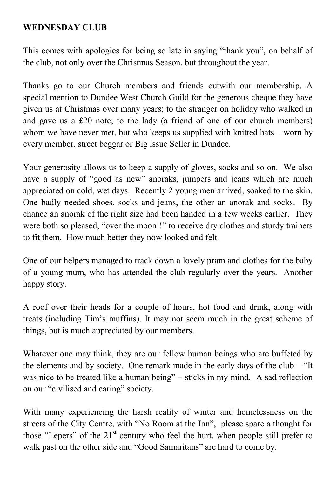#### **WEDNESDAY CLUB**

This comes with apologies for being so late in saying "thank you", on behalf of the club, not only over the Christmas Season, but throughout the year.

Thanks go to our Church members and friends outwith our membership. A special mention to Dundee West Church Guild for the generous cheque they have given us at Christmas over many years; to the stranger on holiday who walked in and gave us a £20 note; to the lady (a friend of one of our church members) whom we have never met, but who keeps us supplied with knitted hats – worn by every member, street beggar or Big issue Seller in Dundee.

Your generosity allows us to keep a supply of gloves, socks and so on. We also have a supply of "good as new" anoraks, jumpers and jeans which are much appreciated on cold, wet days. Recently 2 young men arrived, soaked to the skin. One badly needed shoes, socks and jeans, the other an anorak and socks. By chance an anorak of the right size had been handed in a few weeks earlier. They were both so pleased, "over the moon!!" to receive dry clothes and sturdy trainers to fit them. How much better they now looked and felt.

One of our helpers managed to track down a lovely pram and clothes for the baby of a young mum, who has attended the club regularly over the years. Another happy story.

A roof over their heads for a couple of hours, hot food and drink, along with treats (including Tim's muffins). It may not seem much in the great scheme of things, but is much appreciated by our members.

Whatever one may think, they are our fellow human beings who are buffeted by the elements and by society. One remark made in the early days of the club – "It was nice to be treated like a human being" – sticks in my mind. A sad reflection on our "civilised and caring" society.

With many experiencing the harsh reality of winter and homelessness on the streets of the City Centre, with "No Room at the Inn", please spare a thought for those "Lepers" of the  $21<sup>st</sup>$  century who feel the hurt, when people still prefer to walk past on the other side and "Good Samaritans" are hard to come by.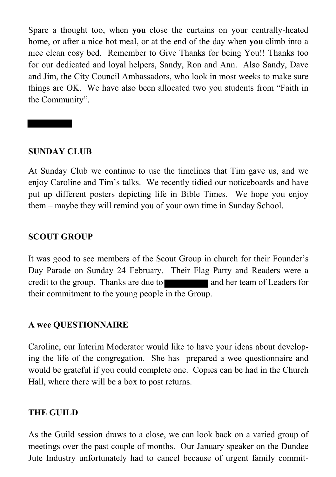Spare a thought too, when **you** close the curtains on your centrally-heated home, or after a nice hot meal, or at the end of the day when **you** climb into a nice clean cosy bed. Remember to Give Thanks for being You!! Thanks too for our dedicated and loyal helpers, Sandy, Ron and Ann. Also Sandy, Dave and Jim, the City Council Ambassadors, who look in most weeks to make sure things are OK. We have also been allocated two you students from "Faith in the Community".

#### **SUNDAY CLUB**

At Sunday Club we continue to use the timelines that Tim gave us, and we enjoy Caroline and Tim's talks. We recently tidied our noticeboards and have put up different posters depicting life in Bible Times. We hope you enjoy them – maybe they will remind you of your own time in Sunday School.

#### **SCOUT GROUP**

It was good to see members of the Scout Group in church for their Founder's Day Parade on Sunday 24 February. Their Flag Party and Readers were a credit to the group. Thanks are due to and her team of Leaders for their commitment to the young people in the Group.

#### **A wee QUESTIONNAIRE**

Caroline, our Interim Moderator would like to have your ideas about developing the life of the congregation. She has prepared a wee questionnaire and would be grateful if you could complete one. Copies can be had in the Church Hall, where there will be a box to post returns.

#### **THE GUILD**

As the Guild session draws to a close, we can look back on a varied group of meetings over the past couple of months. Our January speaker on the Dundee Jute Industry unfortunately had to cancel because of urgent family commit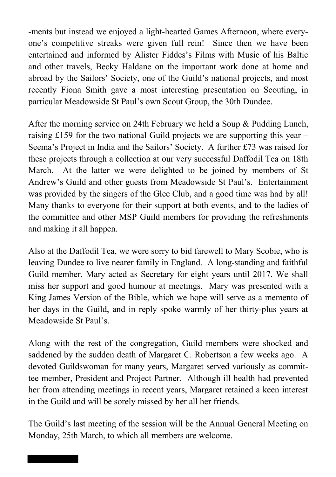-ments but instead we enjoyed a light-hearted Games Afternoon, where everyone's competitive streaks were given full rein! Since then we have been entertained and informed by Alister Fiddes's Films with Music of his Baltic and other travels, Becky Haldane on the important work done at home and abroad by the Sailors' Society, one of the Guild's national projects, and most recently Fiona Smith gave a most interesting presentation on Scouting, in particular Meadowside St Paul's own Scout Group, the 30th Dundee.

After the morning service on 24th February we held a Soup & Pudding Lunch, raising £159 for the two national Guild projects we are supporting this year – Seema's Project in India and the Sailors' Society. A further £73 was raised for these projects through a collection at our very successful Daffodil Tea on 18th March. At the latter we were delighted to be joined by members of St Andrew's Guild and other guests from Meadowside St Paul's. Entertainment was provided by the singers of the Glee Club, and a good time was had by all! Many thanks to everyone for their support at both events, and to the ladies of the committee and other MSP Guild members for providing the refreshments and making it all happen.

Also at the Daffodil Tea, we were sorry to bid farewell to Mary Scobie, who is leaving Dundee to live nearer family in England. A long-standing and faithful Guild member, Mary acted as Secretary for eight years until 2017. We shall miss her support and good humour at meetings. Mary was presented with a King James Version of the Bible, which we hope will serve as a memento of her days in the Guild, and in reply spoke warmly of her thirty-plus years at Meadowside St Paul's.

Along with the rest of the congregation, Guild members were shocked and saddened by the sudden death of Margaret C. Robertson a few weeks ago. A devoted Guildswoman for many years, Margaret served variously as committee member, President and Project Partner. Although ill health had prevented her from attending meetings in recent years, Margaret retained a keen interest in the Guild and will be sorely missed by her all her friends.

The Guild's last meeting of the session will be the Annual General Meeting on Monday, 25th March, to which all members are welcome.